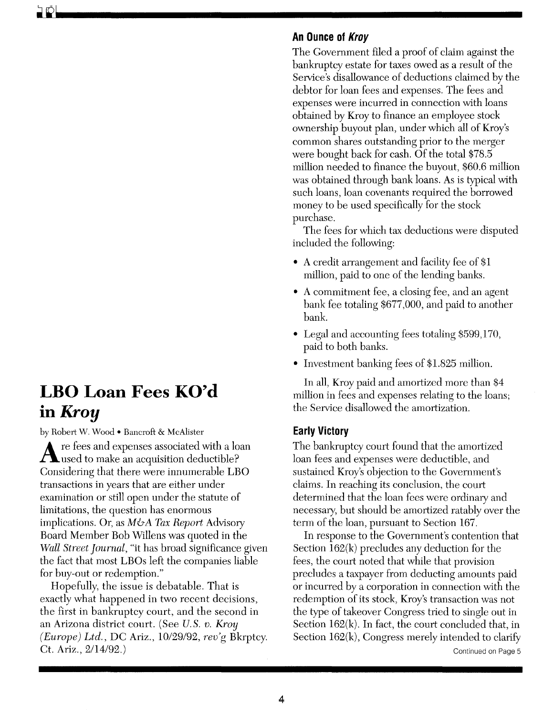# **LBO Loan Fees KO'd in** *Kroy*

by Robert W. Wood • Bancroft & McAlister

Are fees and expenses associated with a loan used to make an acquisition deductible? Considering that there were innumerable LBO transactions in years that are either under examination or still open under the statute of limitations, the question has enormous implications. Or, as  $M\&\mathcal{A}$  Tax Report Advisory Board Member Bob Willens was quoted in the *Wall Street Journal,* "it has broad significance given the fact that most LBOs left the companies liable for buy-out or redemption."

Hopefully, the issue is debatable. That is exactly what happened in two recent decisions, the first in bankruptcy court, and the second in an Arizona district court. (See *U.* S. *v. Kroy (Europe) Ltd.,* DC Ariz., 10/29/92, *rev'g* Bkrptcy. Ct. Ariz., 2/14/92.)

## **An Ounce of Kroy**

The Government filed a proof of claim against the bankruptcy estate for taxes owed as a result of the Service's disallowance of deductions claimed by the debtor for loan fees and expenses. The fees and expenses were incurred in connection with loans obtained by Kroy to finance an employee stock ownership buyout plan, under which all of Kroy's common shares outstanding prior to the merger were bought back for cash. Of the total \$78.5 million needed to finance the buyout, \$60.6 million was obtained through bank loans. As is typical with such loans, loan covenants required the borrowed money to be used specifically for the stock purchase.

The fees for which tax deductions were disputed included the following:

- A credit arrangement and facility fee of \$1 million, paid to one of the lending banks.
- A commitment fee, a closing fee, and an agent bank fee totaling \$677,000, and paid to another bank.
- Legal and accounting fees totaling \$599,170, paid to both banks.
- Investment banking fees of \$1.825 million.

In all, Kroy paid and amortized more than \$4 million in fees and expenses relating to the loans; the Service disallowed the amortization.

# **Early Victory**

The bankruptcy court found that the amortized loan fees and expenses were deductible, and sustained Kroy's objection to the Government's claims. In reaching its conclusion, the court determined that the loan fees were ordinary and necessary, but should be amortized ratably over the term of the loan, pursuant to Section 167.

In response to the Government's contention that Section 162(k) precludes any deduction for the fees, the court noted that while that provision precludes a taxpayer from deducting amounts paid or incurred by a corporation in connection with the redemption of its stock, Kroy's transaction was not the type of takeover Congress tried to single out in Section  $162(k)$ . In fact, the court concluded that, in Section  $162(k)$ , Congress merely intended to clarify

Continued on Page 5